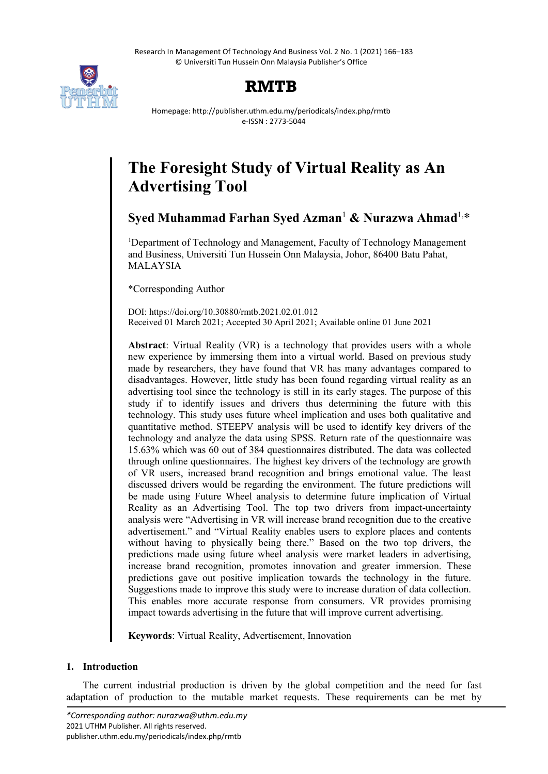

# **RMTB**

Homepage: http://publisher.uthm.edu.my/periodicals/index.php/rmtb e-ISSN : 2773-5044

# **The Foresight Study of Virtual Reality as An Advertising Tool**

# **Syed Muhammad Farhan Syed Azman**<sup>1</sup> **& Nurazwa Ahmad**1, \*

<sup>1</sup>Department of Technology and Management, Faculty of Technology Management and Business, Universiti Tun Hussein Onn Malaysia, Johor, 86400 Batu Pahat, MALAYSIA

\*Corresponding Author

DOI: https://doi.org/10.30880/rmtb.2021.02.01.012 Received 01 March 2021; Accepted 30 April 2021; Available online 01 June 2021

**Abstract**: Virtual Reality (VR) is a technology that provides users with a whole new experience by immersing them into a virtual world. Based on previous study made by researchers, they have found that VR has many advantages compared to disadvantages. However, little study has been found regarding virtual reality as an advertising tool since the technology is still in its early stages. The purpose of this study if to identify issues and drivers thus determining the future with this technology. This study uses future wheel implication and uses both qualitative and quantitative method. STEEPV analysis will be used to identify key drivers of the technology and analyze the data using SPSS. Return rate of the questionnaire was 15.63% which was 60 out of 384 questionnaires distributed. The data was collected through online questionnaires. The highest key drivers of the technology are growth of VR users, increased brand recognition and brings emotional value. The least discussed drivers would be regarding the environment. The future predictions will be made using Future Wheel analysis to determine future implication of Virtual Reality as an Advertising Tool. The top two drivers from impact-uncertainty analysis were "Advertising in VR will increase brand recognition due to the creative advertisement." and "Virtual Reality enables users to explore places and contents without having to physically being there." Based on the two top drivers, the predictions made using future wheel analysis were market leaders in advertising, increase brand recognition, promotes innovation and greater immersion. These predictions gave out positive implication towards the technology in the future. Suggestions made to improve this study were to increase duration of data collection. This enables more accurate response from consumers. VR provides promising impact towards advertising in the future that will improve current advertising.

**Keywords**: Virtual Reality, Advertisement, Innovation

# **1. Introduction**

The current industrial production is driven by the global competition and the need for fast adaptation of production to the mutable market requests. These requirements can be met by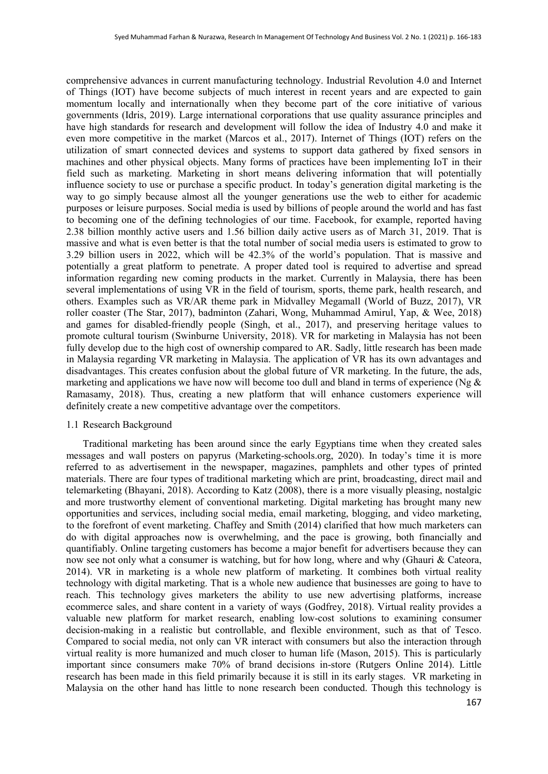comprehensive advances in current manufacturing technology. Industrial Revolution 4.0 and Internet of Things (IOT) have become subjects of much interest in recent years and are expected to gain momentum locally and internationally when they become part of the core initiative of various governments (Idris, 2019). Large international corporations that use quality assurance principles and have high standards for research and development will follow the idea of Industry 4.0 and make it even more competitive in the market (Marcos et al., 2017). Internet of Things (IOT) refers on the utilization of smart connected devices and systems to support data gathered by fixed sensors in machines and other physical objects. Many forms of practices have been implementing IoT in their field such as marketing. Marketing in short means delivering information that will potentially influence society to use or purchase a specific product. In today's generation digital marketing is the way to go simply because almost all the younger generations use the web to either for academic purposes or leisure purposes. Social media is used by billions of people around the world and has fast to becoming one of the defining technologies of our time. Facebook, for example, reported having 2.38 billion monthly active users and 1.56 billion daily active users as of March 31, 2019. That is massive and what is even better is that the total number of social media users is estimated to grow to 3.29 billion users in 2022, which will be 42.3% of the world's population. That is massive and potentially a great platform to penetrate. A proper dated tool is required to advertise and spread information regarding new coming products in the market. Currently in Malaysia, there has been several implementations of using VR in the field of tourism, sports, theme park, health research, and others. Examples such as VR/AR theme park in Midvalley Megamall (World of Buzz, 2017), VR roller coaster (The Star, 2017), badminton (Zahari, Wong, Muhammad Amirul, Yap, & Wee, 2018) and games for disabled-friendly people (Singh, et al., 2017), and preserving heritage values to promote cultural tourism (Swinburne University, 2018). VR for marketing in Malaysia has not been fully develop due to the high cost of ownership compared to AR. Sadly, little research has been made in Malaysia regarding VR marketing in Malaysia. The application of VR has its own advantages and disadvantages. This creates confusion about the global future of VR marketing. In the future, the ads, marketing and applications we have now will become too dull and bland in terms of experience (Ng  $\&$ Ramasamy, 2018). Thus, creating a new platform that will enhance customers experience will definitely create a new competitive advantage over the competitors.

#### 1.1 Research Background

Traditional marketing has been around since the early Egyptians time when they created sales messages and wall posters on papyrus (Marketing-schools.org, 2020). In today's time it is more referred to as advertisement in the newspaper, magazines, pamphlets and other types of printed materials. There are four types of traditional marketing which are print, broadcasting, direct mail and telemarketing (Bhayani, 2018). According to Katz (2008), there is a more visually pleasing, nostalgic and more trustworthy element of conventional marketing. Digital marketing has brought many new opportunities and services, including social media, email marketing, blogging, and video marketing, to the forefront of event marketing. Chaffey and Smith (2014) clarified that how much marketers can do with digital approaches now is overwhelming, and the pace is growing, both financially and quantifiably. Online targeting customers has become a major benefit for advertisers because they can now see not only what a consumer is watching, but for how long, where and why (Ghauri & Cateora, 2014). VR in marketing is a whole new platform of marketing. It combines both virtual reality technology with digital marketing. That is a whole new audience that businesses are going to have to reach. This technology gives marketers the ability to use new advertising platforms, increase ecommerce sales, and share content in a variety of ways (Godfrey, 2018). Virtual reality provides a valuable new platform for market research, enabling low-cost solutions to examining consumer decision-making in a realistic but controllable, and flexible environment, such as that of Tesco. Compared to social media, not only can VR interact with consumers but also the interaction through virtual reality is more humanized and much closer to human life (Mason, 2015). This is particularly important since consumers make 70% of brand decisions in-store (Rutgers Online 2014). Little research has been made in this field primarily because it is still in its early stages. VR marketing in Malaysia on the other hand has little to none research been conducted. Though this technology is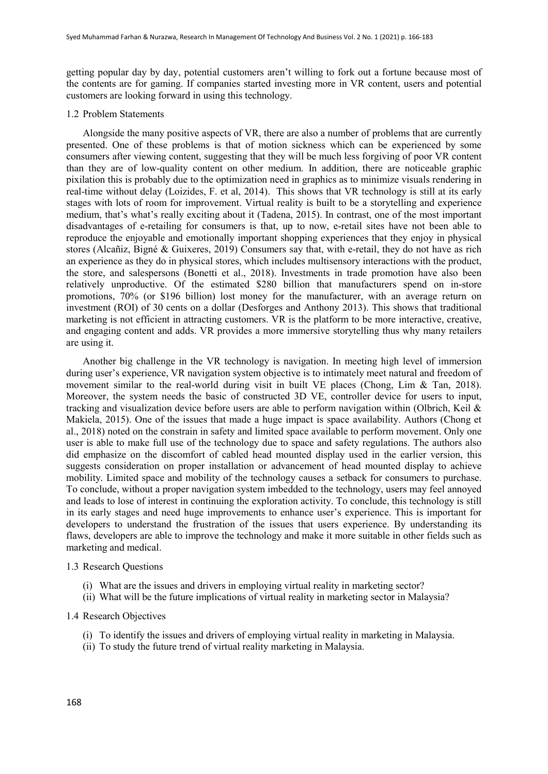getting popular day by day, potential customers aren't willing to fork out a fortune because most of the contents are for gaming. If companies started investing more in VR content, users and potential customers are looking forward in using this technology.

### 1.2 Problem Statements

Alongside the many positive aspects of VR, there are also a number of problems that are currently presented. One of these problems is that of motion sickness which can be experienced by some consumers after viewing content, suggesting that they will be much less forgiving of poor VR content than they are of low-quality content on other medium. In addition, there are noticeable graphic pixilation this is probably due to the optimization need in graphics as to minimize visuals rendering in real-time without delay (Loizides, F. et al, 2014). This shows that VR technology is still at its early stages with lots of room for improvement. Virtual reality is built to be a storytelling and experience medium, that's what's really exciting about it (Tadena, 2015). In contrast, one of the most important disadvantages of e-retailing for consumers is that, up to now, e-retail sites have not been able to reproduce the enjoyable and emotionally important shopping experiences that they enjoy in physical stores (Alcañiz, Bigné & Guixeres, 2019) Consumers say that, with e-retail, they do not have as rich an experience as they do in physical stores, which includes multisensory interactions with the product, the store, and salespersons (Bonetti et al., 2018). Investments in trade promotion have also been relatively unproductive. Of the estimated \$280 billion that manufacturers spend on in-store promotions, 70% (or \$196 billion) lost money for the manufacturer, with an average return on investment (ROI) of 30 cents on a dollar (Desforges and Anthony 2013). This shows that traditional marketing is not efficient in attracting customers. VR is the platform to be more interactive, creative, and engaging content and adds. VR provides a more immersive storytelling thus why many retailers are using it.

Another big challenge in the VR technology is navigation. In meeting high level of immersion during user's experience, VR navigation system objective is to intimately meet natural and freedom of movement similar to the real-world during visit in built VE places (Chong, Lim & Tan, 2018). Moreover, the system needs the basic of constructed 3D VE, controller device for users to input, tracking and visualization device before users are able to perform navigation within (Olbrich, Keil & Makiela, 2015). One of the issues that made a huge impact is space availability. Authors (Chong et al., 2018) noted on the constrain in safety and limited space available to perform movement. Only one user is able to make full use of the technology due to space and safety regulations. The authors also did emphasize on the discomfort of cabled head mounted display used in the earlier version, this suggests consideration on proper installation or advancement of head mounted display to achieve mobility. Limited space and mobility of the technology causes a setback for consumers to purchase. To conclude, without a proper navigation system imbedded to the technology, users may feel annoyed and leads to lose of interest in continuing the exploration activity. To conclude, this technology is still in its early stages and need huge improvements to enhance user's experience. This is important for developers to understand the frustration of the issues that users experience. By understanding its flaws, developers are able to improve the technology and make it more suitable in other fields such as marketing and medical.

## 1.3 Research Questions

- (i) What are the issues and drivers in employing virtual reality in marketing sector?
- (ii) What will be the future implications of virtual reality in marketing sector in Malaysia?

# 1.4 Research Objectives

- (i) To identify the issues and drivers of employing virtual reality in marketing in Malaysia.
- (ii) To study the future trend of virtual reality marketing in Malaysia.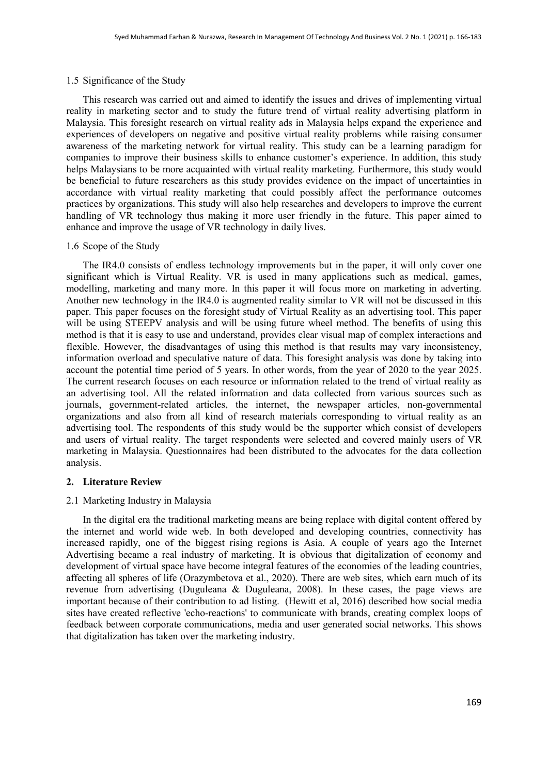## 1.5 Significance of the Study

This research was carried out and aimed to identify the issues and drives of implementing virtual reality in marketing sector and to study the future trend of virtual reality advertising platform in Malaysia. This foresight research on virtual reality ads in Malaysia helps expand the experience and experiences of developers on negative and positive virtual reality problems while raising consumer awareness of the marketing network for virtual reality. This study can be a learning paradigm for companies to improve their business skills to enhance customer's experience. In addition, this study helps Malaysians to be more acquainted with virtual reality marketing. Furthermore, this study would be beneficial to future researchers as this study provides evidence on the impact of uncertainties in accordance with virtual reality marketing that could possibly affect the performance outcomes practices by organizations. This study will also help researches and developers to improve the current handling of VR technology thus making it more user friendly in the future. This paper aimed to enhance and improve the usage of VR technology in daily lives.

#### 1.6 Scope of the Study

The IR4.0 consists of endless technology improvements but in the paper, it will only cover one significant which is Virtual Reality. VR is used in many applications such as medical, games, modelling, marketing and many more. In this paper it will focus more on marketing in adverting. Another new technology in the IR4.0 is augmented reality similar to VR will not be discussed in this paper. This paper focuses on the foresight study of Virtual Reality as an advertising tool. This paper will be using STEEPV analysis and will be using future wheel method. The benefits of using this method is that it is easy to use and understand, provides clear visual map of complex interactions and flexible. However, the disadvantages of using this method is that results may vary inconsistency, information overload and speculative nature of data. This foresight analysis was done by taking into account the potential time period of 5 years. In other words, from the year of 2020 to the year 2025. The current research focuses on each resource or information related to the trend of virtual reality as an advertising tool. All the related information and data collected from various sources such as journals, government-related articles, the internet, the newspaper articles, non-governmental organizations and also from all kind of research materials corresponding to virtual reality as an advertising tool. The respondents of this study would be the supporter which consist of developers and users of virtual reality. The target respondents were selected and covered mainly users of VR marketing in Malaysia. Questionnaires had been distributed to the advocates for the data collection analysis.

#### **2. Literature Review**

## 2.1 Marketing Industry in Malaysia

In the digital era the traditional marketing means are being replace with digital content offered by the internet and world wide web. In both developed and developing countries, connectivity has increased rapidly, one of the biggest rising regions is Asia. A couple of years ago the Internet Advertising became a real industry of marketing. It is obvious that digitalization of economy and development of virtual space have become integral features of the economies of the leading countries, affecting all spheres of life (Orazymbetova et al., 2020). There are web sites, which earn much of its revenue from advertising (Duguleana & Duguleana, 2008). In these cases, the page views are important because of their contribution to ad listing. (Hewitt et al, 2016) described how social media sites have created reflective 'echo-reactions' to communicate with brands, creating complex loops of feedback between corporate communications, media and user generated social networks. This shows that digitalization has taken over the marketing industry.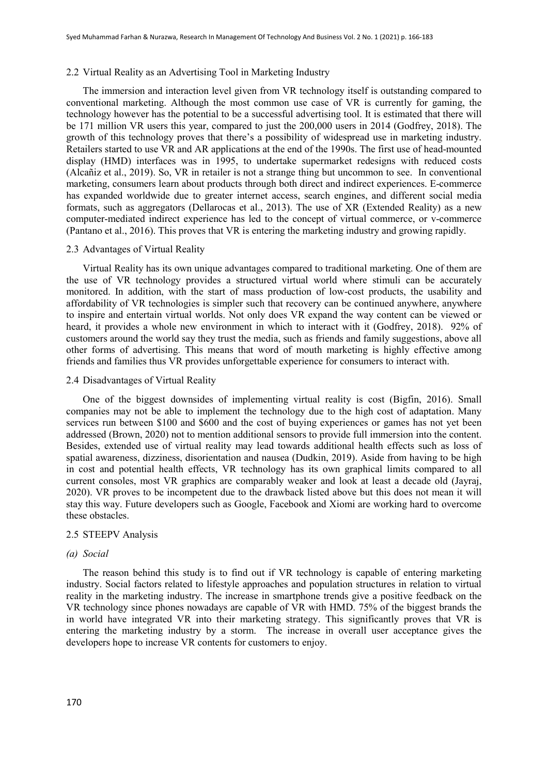#### 2.2 Virtual Reality as an Advertising Tool in Marketing Industry

The immersion and interaction level given from VR technology itself is outstanding compared to conventional marketing. Although the most common use case of VR is currently for gaming, the technology however has the potential to be a successful advertising tool. It is estimated that there will be 171 million VR users this year, compared to just the 200,000 users in 2014 (Godfrey, 2018). The growth of this technology proves that there's a possibility of widespread use in marketing industry. Retailers started to use VR and AR applications at the end of the 1990s. The first use of head-mounted display (HMD) interfaces was in 1995, to undertake supermarket redesigns with reduced costs (Alcañiz et al., 2019). So, VR in retailer is not a strange thing but uncommon to see. In conventional marketing, consumers learn about products through both direct and indirect experiences. E-commerce has expanded worldwide due to greater internet access, search engines, and different social media formats, such as aggregators (Dellarocas et al., 2013). The use of XR (Extended Reality) as a new computer-mediated indirect experience has led to the concept of virtual commerce, or v-commerce (Pantano et al., 2016). This proves that VR is entering the marketing industry and growing rapidly.

#### 2.3 Advantages of Virtual Reality

Virtual Reality has its own unique advantages compared to traditional marketing. One of them are the use of VR technology provides a structured virtual world where stimuli can be accurately monitored. In addition, with the start of mass production of low-cost products, the usability and affordability of VR technologies is simpler such that recovery can be continued anywhere, anywhere to inspire and entertain virtual worlds. Not only does VR expand the way content can be viewed or heard, it provides a whole new environment in which to interact with it (Godfrey, 2018). 92% of customers around the world say they trust the media, such as friends and family suggestions, above all other forms of advertising. This means that word of mouth marketing is highly effective among friends and families thus VR provides unforgettable experience for consumers to interact with.

#### 2.4 Disadvantages of Virtual Reality

One of the biggest downsides of implementing virtual reality is cost (Bigfin, 2016). Small companies may not be able to implement the technology due to the high cost of adaptation. Many services run between \$100 and \$600 and the cost of buying experiences or games has not yet been addressed (Brown, 2020) not to mention additional sensors to provide full immersion into the content. Besides, extended use of virtual reality may lead towards additional health effects such as loss of spatial awareness, dizziness, disorientation and nausea (Dudkin, 2019). Aside from having to be high in cost and potential health effects, VR technology has its own graphical limits compared to all current consoles, most VR graphics are comparably weaker and look at least a decade old (Jayraj, 2020). VR proves to be incompetent due to the drawback listed above but this does not mean it will stay this way. Future developers such as Google, Facebook and Xiomi are working hard to overcome these obstacles.

#### 2.5 STEEPV Analysis

#### *(a) Social*

The reason behind this study is to find out if VR technology is capable of entering marketing industry. Social factors related to lifestyle approaches and population structures in relation to virtual reality in the marketing industry. The increase in smartphone trends give a positive feedback on the VR technology since phones nowadays are capable of VR with HMD. 75% of the biggest brands the in world have integrated VR into their marketing strategy. This significantly proves that VR is entering the marketing industry by a storm. The increase in overall user acceptance gives the developers hope to increase VR contents for customers to enjoy.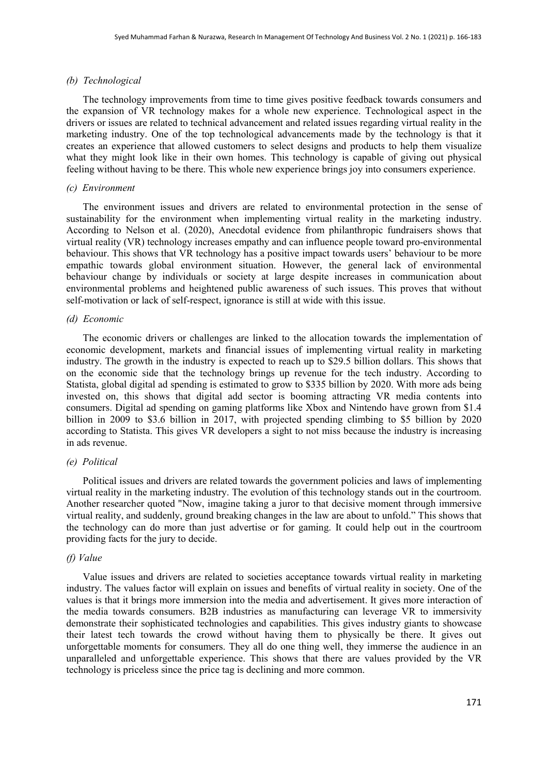## *(b) Technological*

The technology improvements from time to time gives positive feedback towards consumers and the expansion of VR technology makes for a whole new experience. Technological aspect in the drivers or issues are related to technical advancement and related issues regarding virtual reality in the marketing industry. One of the top technological advancements made by the technology is that it creates an experience that allowed customers to select designs and products to help them visualize what they might look like in their own homes. This technology is capable of giving out physical feeling without having to be there. This whole new experience brings joy into consumers experience.

#### *(c) Environment*

The environment issues and drivers are related to environmental protection in the sense of sustainability for the environment when implementing virtual reality in the marketing industry. According to Nelson et al. (2020), Anecdotal evidence from philanthropic fundraisers shows that virtual reality (VR) technology increases empathy and can influence people toward pro-environmental behaviour. This shows that VR technology has a positive impact towards users' behaviour to be more empathic towards global environment situation. However, the general lack of environmental behaviour change by individuals or society at large despite increases in communication about environmental problems and heightened public awareness of such issues. This proves that without self-motivation or lack of self-respect, ignorance is still at wide with this issue.

#### *(d) Economic*

The economic drivers or challenges are linked to the allocation towards the implementation of economic development, markets and financial issues of implementing virtual reality in marketing industry. The growth in the industry is expected to reach up to \$29.5 billion dollars. This shows that on the economic side that the technology brings up revenue for the tech industry. According to Statista, global digital ad spending is estimated to grow to \$335 billion by 2020. With more ads being invested on, this shows that digital add sector is booming attracting VR media contents into consumers. Digital ad spending on gaming platforms like Xbox and Nintendo have grown from \$1.4 billion in 2009 to \$3.6 billion in 2017, with projected spending climbing to \$5 billion by 2020 according to Statista. This gives VR developers a sight to not miss because the industry is increasing in ads revenue.

## *(e) Political*

Political issues and drivers are related towards the government policies and laws of implementing virtual reality in the marketing industry. The evolution of this technology stands out in the courtroom. Another researcher quoted "Now, imagine taking a juror to that decisive moment through immersive virtual reality, and suddenly, ground breaking changes in the law are about to unfold." This shows that the technology can do more than just advertise or for gaming. It could help out in the courtroom providing facts for the jury to decide.

#### *(f) Value*

Value issues and drivers are related to societies acceptance towards virtual reality in marketing industry. The values factor will explain on issues and benefits of virtual reality in society. One of the values is that it brings more immersion into the media and advertisement. It gives more interaction of the media towards consumers. B2B industries as manufacturing can leverage VR to immersivity demonstrate their sophisticated technologies and capabilities. This gives industry giants to showcase their latest tech towards the crowd without having them to physically be there. It gives out unforgettable moments for consumers. They all do one thing well, they immerse the audience in an unparalleled and unforgettable experience. This shows that there are values provided by the VR technology is priceless since the price tag is declining and more common.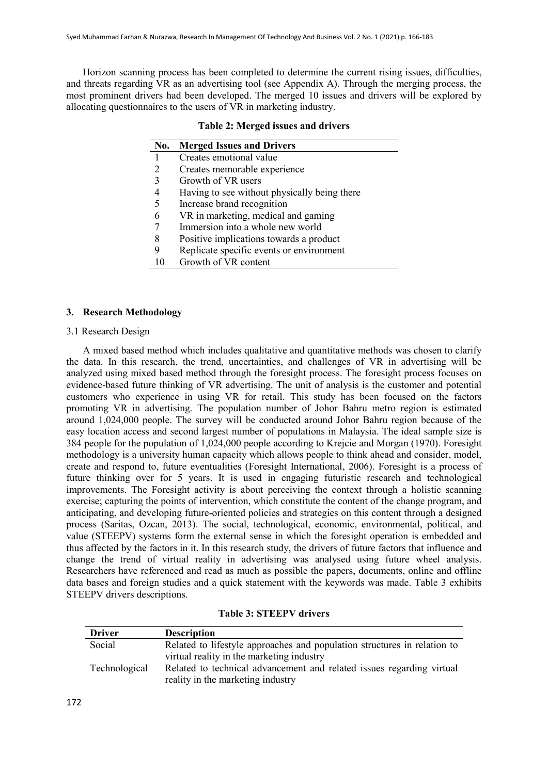Horizon scanning process has been completed to determine the current rising issues, difficulties, and threats regarding VR as an advertising tool (see Appendix A). Through the merging process, the most prominent drivers had been developed. The merged 10 issues and drivers will be explored by allocating questionnaires to the users of VR in marketing industry.

| No. | <b>Merged Issues and Drivers</b>             |
|-----|----------------------------------------------|
|     | Creates emotional value                      |
|     | Creates memorable experience                 |
|     | Growth of VR users                           |
|     | Having to see without physically being there |
|     | Increase brand recognition                   |
|     | VR in marketing, medical and gaming          |
|     | Immersion into a whole new world             |
| 8   | Positive implications towards a product      |
|     | Replicate specific events or environment     |
|     | Growth of VR content                         |

# **Table 2: Merged issues and drivers**

# **3. Research Methodology**

# 3.1 Research Design

A mixed based method which includes qualitative and quantitative methods was chosen to clarify the data. In this research, the trend, uncertainties, and challenges of VR in advertising will be analyzed using mixed based method through the foresight process. The foresight process focuses on evidence-based future thinking of VR advertising. The unit of analysis is the customer and potential customers who experience in using VR for retail. This study has been focused on the factors promoting VR in advertising. The population number of Johor Bahru metro region is estimated around 1,024,000 people. The survey will be conducted around Johor Bahru region because of the easy location access and second largest number of populations in Malaysia. The ideal sample size is 384 people for the population of 1,024,000 people according to Krejcie and Morgan (1970). Foresight methodology is a university human capacity which allows people to think ahead and consider, model, create and respond to, future eventualities (Foresight International, 2006). Foresight is a process of future thinking over for 5 years. It is used in engaging futuristic research and technological improvements. The Foresight activity is about perceiving the context through a holistic scanning exercise; capturing the points of intervention, which constitute the content of the change program, and anticipating, and developing future-oriented policies and strategies on this content through a designed process (Saritas, Ozcan, 2013). The social, technological, economic, environmental, political, and value (STEEPV) systems form the external sense in which the foresight operation is embedded and thus affected by the factors in it. In this research study, the drivers of future factors that influence and change the trend of virtual reality in advertising was analysed using future wheel analysis. Researchers have referenced and read as much as possible the papers, documents, online and offline data bases and foreign studies and a quick statement with the keywords was made. Table 3 exhibits STEEPV drivers descriptions.

| <b>Driver</b> | <b>Description</b>                                                       |
|---------------|--------------------------------------------------------------------------|
| Social        | Related to lifestyle approaches and population structures in relation to |
|               | virtual reality in the marketing industry                                |
| Technological | Related to technical advancement and related issues regarding virtual    |
|               | reality in the marketing industry                                        |

**Table 3: STEEPV drivers**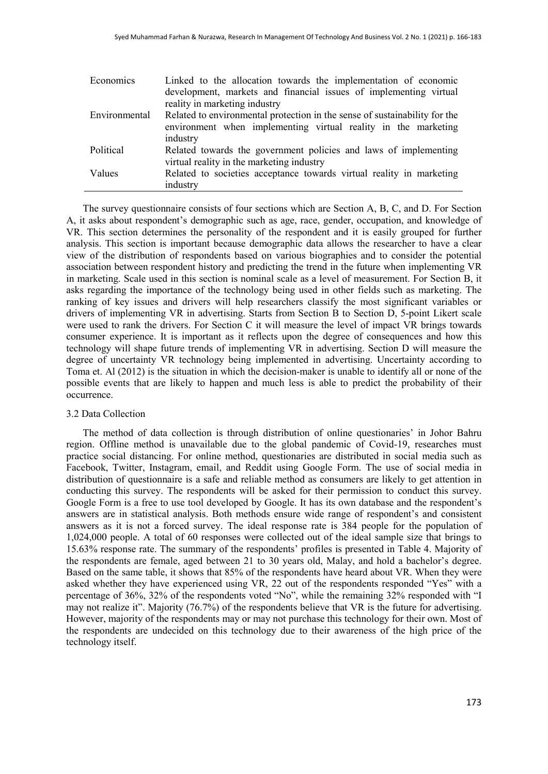| Economics     | Linked to the allocation towards the implementation of economic            |
|---------------|----------------------------------------------------------------------------|
|               | development, markets and financial issues of implementing virtual          |
|               | reality in marketing industry                                              |
| Environmental | Related to environmental protection in the sense of sustainability for the |
|               | environment when implementing virtual reality in the marketing             |
|               | industry                                                                   |
| Political     | Related towards the government policies and laws of implementing           |
|               | virtual reality in the marketing industry                                  |
| Values        | Related to societies acceptance towards virtual reality in marketing       |
|               | industry                                                                   |

The survey questionnaire consists of four sections which are Section A, B, C, and D. For Section A, it asks about respondent's demographic such as age, race, gender, occupation, and knowledge of VR. This section determines the personality of the respondent and it is easily grouped for further analysis. This section is important because demographic data allows the researcher to have a clear view of the distribution of respondents based on various biographies and to consider the potential association between respondent history and predicting the trend in the future when implementing VR in marketing. Scale used in this section is nominal scale as a level of measurement. For Section B, it asks regarding the importance of the technology being used in other fields such as marketing. The ranking of key issues and drivers will help researchers classify the most significant variables or drivers of implementing VR in advertising. Starts from Section B to Section D, 5-point Likert scale were used to rank the drivers. For Section C it will measure the level of impact VR brings towards consumer experience. It is important as it reflects upon the degree of consequences and how this technology will shape future trends of implementing VR in advertising. Section D will measure the degree of uncertainty VR technology being implemented in advertising. Uncertainty according to Toma et. Al (2012) is the situation in which the decision-maker is unable to identify all or none of the possible events that are likely to happen and much less is able to predict the probability of their occurrence.

# 3.2 Data Collection

The method of data collection is through distribution of online questionaries' in Johor Bahru region. Offline method is unavailable due to the global pandemic of Covid-19, researches must practice social distancing. For online method, questionaries are distributed in social media such as Facebook, Twitter, Instagram, email, and Reddit using Google Form. The use of social media in distribution of questionnaire is a safe and reliable method as consumers are likely to get attention in conducting this survey. The respondents will be asked for their permission to conduct this survey. Google Form is a free to use tool developed by Google. It has its own database and the respondent's answers are in statistical analysis. Both methods ensure wide range of respondent's and consistent answers as it is not a forced survey. The ideal response rate is 384 people for the population of 1,024,000 people. A total of 60 responses were collected out of the ideal sample size that brings to 15.63% response rate. The summary of the respondents' profiles is presented in Table 4. Majority of the respondents are female, aged between 21 to 30 years old, Malay, and hold a bachelor's degree. Based on the same table, it shows that 85% of the respondents have heard about VR. When they were asked whether they have experienced using VR, 22 out of the respondents responded "Yes" with a percentage of 36%, 32% of the respondents voted "No", while the remaining 32% responded with "I may not realize it". Majority (76.7%) of the respondents believe that VR is the future for advertising. However, majority of the respondents may or may not purchase this technology for their own. Most of the respondents are undecided on this technology due to their awareness of the high price of the technology itself.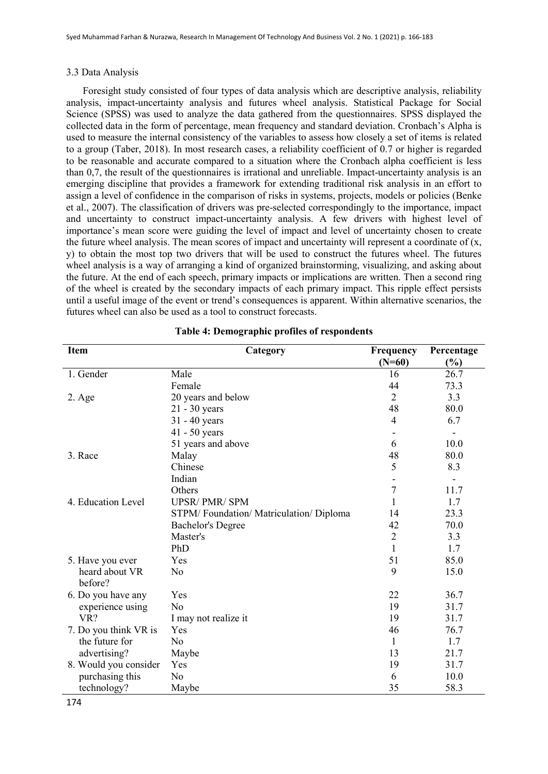#### 3.3 Data Analysis

Foresight study consisted of four types of data analysis which are descriptive analysis, reliability analysis, impact-uncertainty analysis and futures wheel analysis. Statistical Package for Social Science (SPSS) was used to analyze the data gathered from the questionnaires. SPSS displayed the collected data in the form of percentage, mean frequency and standard deviation. Cronbach's Alpha is used to measure the internal consistency of the variables to assess how closely a set of items is related to a group (Taber, 2018). In most research cases, a reliability coefficient of 0.7 or higher is regarded to be reasonable and accurate compared to a situation where the Cronbach alpha coefficient is less than 0,7, the result of the questionnaires is irrational and unreliable. Impact-uncertainty analysis is an emerging discipline that provides a framework for extending traditional risk analysis in an effort to assign a level of confidence in the comparison of risks in systems, projects, models or policies (Benke et al., 2007). The classification of drivers was pre-selected correspondingly to the importance, impact and uncertainty to construct impact-uncertainty analysis. A few drivers with highest level of importance's mean score were guiding the level of impact and level of uncertainty chosen to create the future wheel analysis. The mean scores of impact and uncertainty will represent a coordinate of  $(x, \cdot)$ y) to obtain the most top two drivers that will be used to construct the futures wheel. The futures wheel analysis is a way of arranging a kind of organized brainstorming, visualizing, and asking about the future. At the end of each speech, primary impacts or implications are written. Then a second ring of the wheel is created by the secondary impacts of each primary impact. This ripple effect persists until a useful image of the event or trend's consequences is apparent. Within alternative scenarios, the futures wheel can also be used as a tool to construct forecasts.

| <b>Item</b>               | Category                              | Frequency      | Percentage |
|---------------------------|---------------------------------------|----------------|------------|
|                           |                                       | $(N=60)$       | (%)        |
| 1. Gender                 | Male                                  | 16             | 26.7       |
|                           | Female                                | 44             | 73.3       |
| $2. \text{Age}$           | 20 years and below                    | $\overline{2}$ | 3.3        |
|                           | $21 - 30$ years                       | 48             | 80.0       |
|                           | $31 - 40$ years                       | 4              | 6.7        |
|                           | $41 - 50$ years                       |                |            |
|                           | 51 years and above                    | 6              | 10.0       |
| 3. Race                   | Malay                                 | 48             | 80.0       |
|                           | Chinese                               | 5              | 8.3        |
|                           | Indian                                |                |            |
|                           | Others                                | $\overline{7}$ | 11.7       |
| 4. Education Level        | <b>UPSR/PMR/SPM</b>                   | 1              | 1.7        |
|                           | STPM/Foundation/Matriculation/Diploma | 14             | 23.3       |
|                           | <b>Bachelor's Degree</b>              | 42             | 70.0       |
|                           | Master's                              | $\overline{2}$ | 3.3        |
|                           | PhD                                   | 1              | 1.7        |
| 5. Have you ever          | Yes                                   | 51             | 85.0       |
| heard about VR<br>before? | No                                    | 9              | 15.0       |
| 6. Do you have any        | Yes                                   | 22             | 36.7       |
| experience using          | No                                    | 19             | 31.7       |
| VR?                       | I may not realize it                  | 19             | 31.7       |
| 7. Do you think VR is     | Yes                                   | 46             | 76.7       |
| the future for            | N <sub>o</sub>                        | 1              | 1.7        |
| advertising?              | Maybe                                 | 13             | 21.7       |
| 8. Would you consider     | Yes                                   | 19             | 31.7       |
| purchasing this           | No                                    | 6              | 10.0       |
| technology?               | Maybe                                 | 35             | 58.3       |

**Table 4: Demographic profiles of respondents**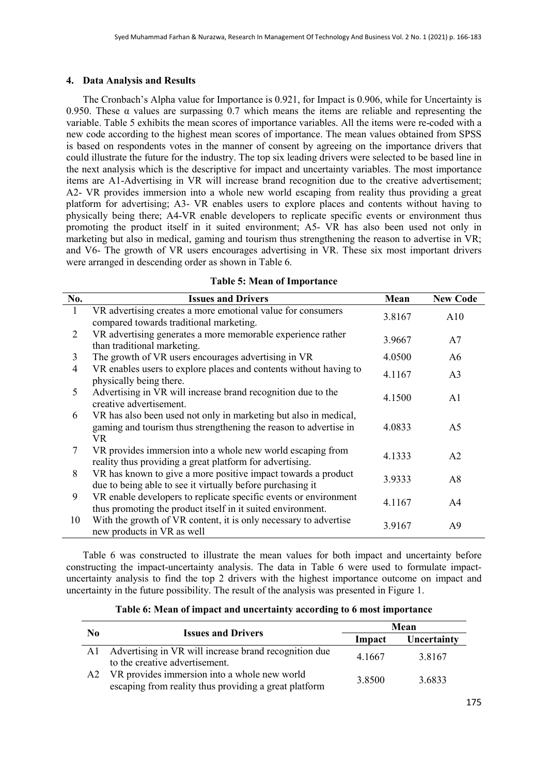# **4. Data Analysis and Results**

The Cronbach's Alpha value for Importance is 0.921, for Impact is 0.906, while for Uncertainty is 0.950. These  $\alpha$  values are surpassing 0.7 which means the items are reliable and representing the variable. Table 5 exhibits the mean scores of importance variables. All the items were re-coded with a new code according to the highest mean scores of importance. The mean values obtained from SPSS is based on respondents votes in the manner of consent by agreeing on the importance drivers that could illustrate the future for the industry. The top six leading drivers were selected to be based line in the next analysis which is the descriptive for impact and uncertainty variables. The most importance items are A1-Advertising in VR will increase brand recognition due to the creative advertisement; A2- VR provides immersion into a whole new world escaping from reality thus providing a great platform for advertising; A3- VR enables users to explore places and contents without having to physically being there; A4-VR enable developers to replicate specific events or environment thus promoting the product itself in it suited environment; A5- VR has also been used not only in marketing but also in medical, gaming and tourism thus strengthening the reason to advertise in VR; and V6- The growth of VR users encourages advertising in VR. These six most important drivers were arranged in descending order as shown in Table 6.

|  |  | <b>Table 5: Mean of Importance</b> |
|--|--|------------------------------------|
|--|--|------------------------------------|

| No. | <b>Issues and Drivers</b>                                                                                                                         | Mean   | <b>New Code</b> |
|-----|---------------------------------------------------------------------------------------------------------------------------------------------------|--------|-----------------|
|     | VR advertising creates a more emotional value for consumers<br>compared towards traditional marketing.                                            | 3.8167 | A10             |
| 2   | VR advertising generates a more memorable experience rather<br>than traditional marketing.                                                        | 3.9667 | A7              |
| 3   | The growth of VR users encourages advertising in VR                                                                                               | 4.0500 | A6              |
| 4   | VR enables users to explore places and contents without having to<br>physically being there.                                                      | 4.1167 | A <sub>3</sub>  |
| 5   | Advertising in VR will increase brand recognition due to the<br>creative advertisement.                                                           | 4.1500 | A1              |
| 6   | VR has also been used not only in marketing but also in medical,<br>gaming and tourism thus strengthening the reason to advertise in<br><b>VR</b> | 4.0833 | A5              |
| 7   | VR provides immersion into a whole new world escaping from<br>reality thus providing a great platform for advertising.                            | 4.1333 | A <sub>2</sub>  |
| 8   | VR has known to give a more positive impact towards a product<br>due to being able to see it virtually before purchasing it                       | 3.9333 | A8              |
| 9   | VR enable developers to replicate specific events or environment<br>thus promoting the product itself in it suited environment.                   | 4.1167 | A4              |
| 10  | With the growth of VR content, it is only necessary to advertise<br>new products in VR as well                                                    | 3.9167 | A9              |

Table 6 was constructed to illustrate the mean values for both impact and uncertainty before constructing the impact-uncertainty analysis. The data in Table 6 were used to formulate impactuncertainty analysis to find the top 2 drivers with the highest importance outcome on impact and uncertainty in the future possibility. The result of the analysis was presented in Figure 1.

| Table 6: Mean of impact and uncertainty according to 6 most importance |  |  |  |
|------------------------------------------------------------------------|--|--|--|
|                                                                        |  |  |  |

| No. |                                                                                                       |        | Mean        |
|-----|-------------------------------------------------------------------------------------------------------|--------|-------------|
|     | <b>Issues and Drivers</b>                                                                             | Impact | Uncertainty |
|     | Al Advertising in VR will increase brand recognition due<br>to the creative advertisement.            | 4.1667 | 3.8167      |
| A2  | VR provides immersion into a whole new world<br>escaping from reality thus providing a great platform | 3.8500 | 3.6833      |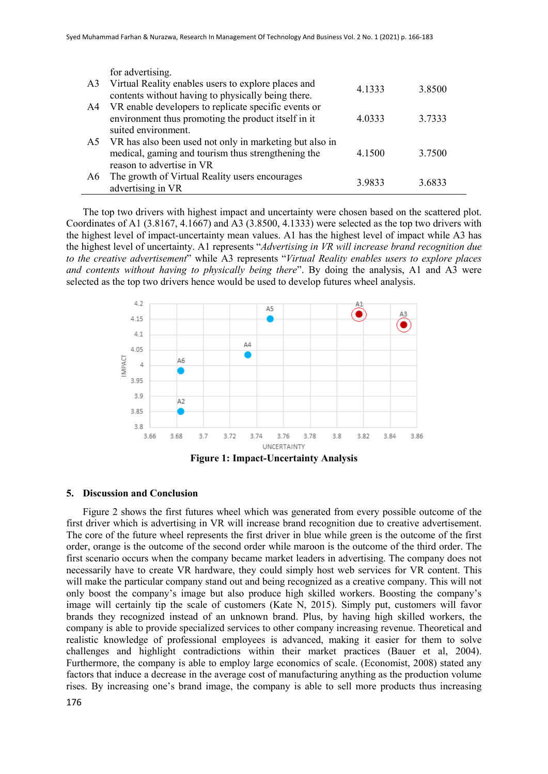|                | for advertising.                                                                                          |        |        |
|----------------|-----------------------------------------------------------------------------------------------------------|--------|--------|
| A <sub>3</sub> | Virtual Reality enables users to explore places and<br>contents without having to physically being there. | 4.1333 | 3.8500 |
| A4             | VR enable developers to replicate specific events or                                                      |        |        |
|                | environment thus promoting the product itself in it                                                       | 4.0333 | 3.7333 |
|                | suited environment.                                                                                       |        |        |
|                | A5 VR has also been used not only in marketing but also in                                                |        |        |
|                | medical, gaming and tourism thus strengthening the                                                        | 4.1500 | 3.7500 |
|                | reason to advertise in VR                                                                                 |        |        |
| A6             | The growth of Virtual Reality users encourages                                                            | 3.9833 | 3.6833 |
|                | advertising in VR                                                                                         |        |        |

The top two drivers with highest impact and uncertainty were chosen based on the scattered plot. Coordinates of A1 (3.8167, 4.1667) and A3 (3.8500, 4.1333) were selected as the top two drivers with the highest level of impact-uncertainty mean values. A1 has the highest level of impact while A3 has the highest level of uncertainty. A1 represents "*Advertising in VR will increase brand recognition due to the creative advertisement*" while A3 represents "*Virtual Reality enables users to explore places and contents without having to physically being there*". By doing the analysis, A1 and A3 were selected as the top two drivers hence would be used to develop futures wheel analysis.



#### **5. Discussion and Conclusion**

Figure 2 shows the first futures wheel which was generated from every possible outcome of the first driver which is advertising in VR will increase brand recognition due to creative advertisement. The core of the future wheel represents the first driver in blue while green is the outcome of the first order, orange is the outcome of the second order while maroon is the outcome of the third order. The first scenario occurs when the company became market leaders in advertising. The company does not necessarily have to create VR hardware, they could simply host web services for VR content. This will make the particular company stand out and being recognized as a creative company. This will not only boost the company's image but also produce high skilled workers. Boosting the company's image will certainly tip the scale of customers (Kate N, 2015). Simply put, customers will favor brands they recognized instead of an unknown brand. Plus, by having high skilled workers, the company is able to provide specialized services to other company increasing revenue. Theoretical and realistic knowledge of professional employees is advanced, making it easier for them to solve challenges and highlight contradictions within their market practices (Bauer et al, 2004). Furthermore, the company is able to employ large economics of scale. (Economist, 2008) stated any factors that induce a decrease in the average cost of manufacturing anything as the production volume rises. By increasing one's brand image, the company is able to sell more products thus increasing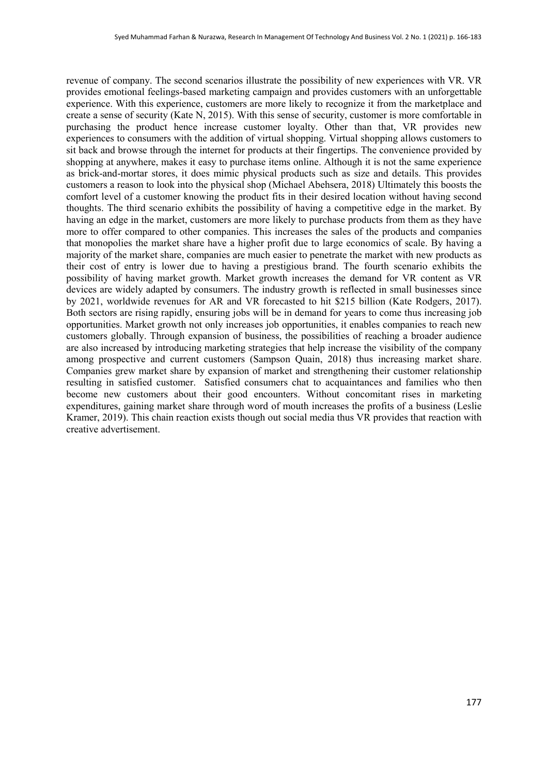revenue of company. The second scenarios illustrate the possibility of new experiences with VR. VR provides emotional feelings-based marketing campaign and provides customers with an unforgettable experience. With this experience, customers are more likely to recognize it from the marketplace and create a sense of security (Kate N, 2015). With this sense of security, customer is more comfortable in purchasing the product hence increase customer loyalty. Other than that, VR provides new experiences to consumers with the addition of virtual shopping. Virtual shopping allows customers to sit back and browse through the internet for products at their fingertips. The convenience provided by shopping at anywhere, makes it easy to purchase items online. Although it is not the same experience as brick-and-mortar stores, it does mimic physical products such as size and details. This provides customers a reason to look into the physical shop (Michael Abehsera, 2018) Ultimately this boosts the comfort level of a customer knowing the product fits in their desired location without having second thoughts. The third scenario exhibits the possibility of having a competitive edge in the market. By having an edge in the market, customers are more likely to purchase products from them as they have more to offer compared to other companies. This increases the sales of the products and companies that monopolies the market share have a higher profit due to large economics of scale. By having a majority of the market share, companies are much easier to penetrate the market with new products as their cost of entry is lower due to having a prestigious brand. The fourth scenario exhibits the possibility of having market growth. Market growth increases the demand for VR content as VR devices are widely adapted by consumers. The industry growth is reflected in small businesses since by 2021, worldwide revenues for AR and VR forecasted to hit \$215 billion (Kate Rodgers, 2017). Both sectors are rising rapidly, ensuring jobs will be in demand for years to come thus increasing job opportunities. Market growth not only increases job opportunities, it enables companies to reach new customers globally. Through expansion of business, the possibilities of reaching a broader audience are also increased by introducing marketing strategies that help increase the visibility of the company among prospective and current customers (Sampson Quain, 2018) thus increasing market share. Companies grew market share by expansion of market and strengthening their customer relationship resulting in satisfied customer. Satisfied consumers chat to acquaintances and families who then become new customers about their good encounters. Without concomitant rises in marketing expenditures, gaining market share through word of mouth increases the profits of a business (Leslie Kramer, 2019). This chain reaction exists though out social media thus VR provides that reaction with creative advertisement.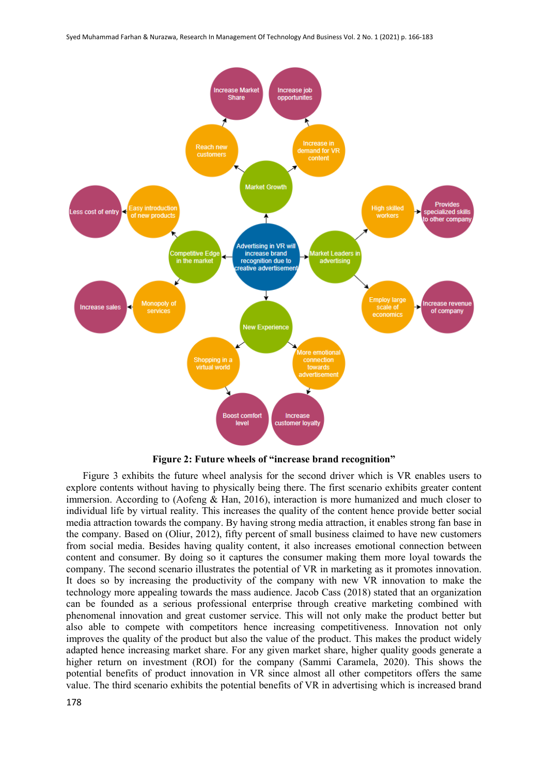

**Figure 2: Future wheels of "increase brand recognition"**

Figure 3 exhibits the future wheel analysis for the second driver which is VR enables users to explore contents without having to physically being there. The first scenario exhibits greater content immersion. According to (Aofeng & Han, 2016), interaction is more humanized and much closer to individual life by virtual reality. This increases the quality of the content hence provide better social media attraction towards the company. By having strong media attraction, it enables strong fan base in the company. Based on (Oliur, 2012), fifty percent of small business claimed to have new customers from social media. Besides having quality content, it also increases emotional connection between content and consumer. By doing so it captures the consumer making them more loyal towards the company. The second scenario illustrates the potential of VR in marketing as it promotes innovation. It does so by increasing the productivity of the company with new VR innovation to make the technology more appealing towards the mass audience. Jacob Cass (2018) stated that an organization can be founded as a serious professional enterprise through creative marketing combined with phenomenal innovation and great customer service. This will not only make the product better but also able to compete with competitors hence increasing competitiveness. Innovation not only improves the quality of the product but also the value of the product. This makes the product widely adapted hence increasing market share. For any given market share, higher quality goods generate a higher return on investment (ROI) for the company (Sammi Caramela, 2020). This shows the potential benefits of product innovation in VR since almost all other competitors offers the same value. The third scenario exhibits the potential benefits of VR in advertising which is increased brand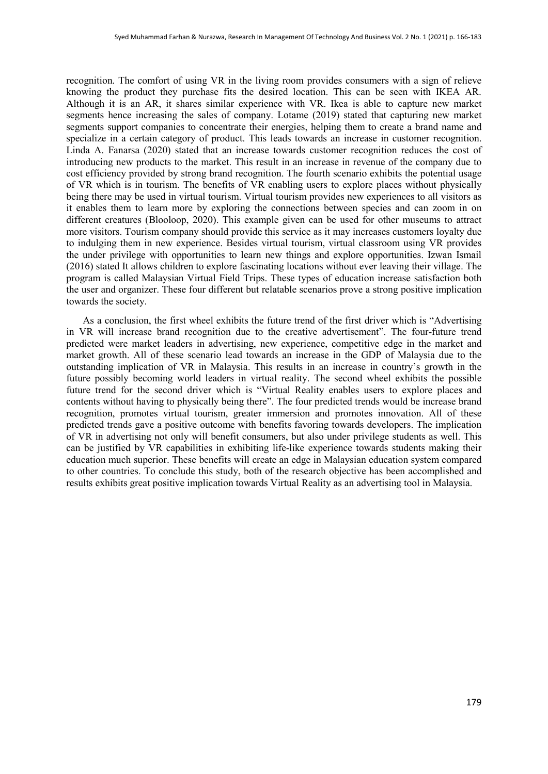recognition. The comfort of using VR in the living room provides consumers with a sign of relieve knowing the product they purchase fits the desired location. This can be seen with IKEA AR. Although it is an AR, it shares similar experience with VR. Ikea is able to capture new market segments hence increasing the sales of company. Lotame (2019) stated that capturing new market segments support companies to concentrate their energies, helping them to create a brand name and specialize in a certain category of product. This leads towards an increase in customer recognition. Linda A. Fanarsa (2020) stated that an increase towards customer recognition reduces the cost of introducing new products to the market. This result in an increase in revenue of the company due to cost efficiency provided by strong brand recognition. The fourth scenario exhibits the potential usage of VR which is in tourism. The benefits of VR enabling users to explore places without physically being there may be used in virtual tourism. Virtual tourism provides new experiences to all visitors as it enables them to learn more by exploring the connections between species and can zoom in on different creatures (Blooloop, 2020). This example given can be used for other museums to attract more visitors. Tourism company should provide this service as it may increases customers loyalty due to indulging them in new experience. Besides virtual tourism, virtual classroom using VR provides the under privilege with opportunities to learn new things and explore opportunities. Izwan Ismail (2016) stated It allows children to explore fascinating locations without ever leaving their village. The program is called Malaysian Virtual Field Trips. These types of education increase satisfaction both the user and organizer. These four different but relatable scenarios prove a strong positive implication towards the society.

As a conclusion, the first wheel exhibits the future trend of the first driver which is "Advertising in VR will increase brand recognition due to the creative advertisement". The four-future trend predicted were market leaders in advertising, new experience, competitive edge in the market and market growth. All of these scenario lead towards an increase in the GDP of Malaysia due to the outstanding implication of VR in Malaysia. This results in an increase in country's growth in the future possibly becoming world leaders in virtual reality. The second wheel exhibits the possible future trend for the second driver which is "Virtual Reality enables users to explore places and contents without having to physically being there". The four predicted trends would be increase brand recognition, promotes virtual tourism, greater immersion and promotes innovation. All of these predicted trends gave a positive outcome with benefits favoring towards developers. The implication of VR in advertising not only will benefit consumers, but also under privilege students as well. This can be justified by VR capabilities in exhibiting life-like experience towards students making their education much superior. These benefits will create an edge in Malaysian education system compared to other countries. To conclude this study, both of the research objective has been accomplished and results exhibits great positive implication towards Virtual Reality as an advertising tool in Malaysia.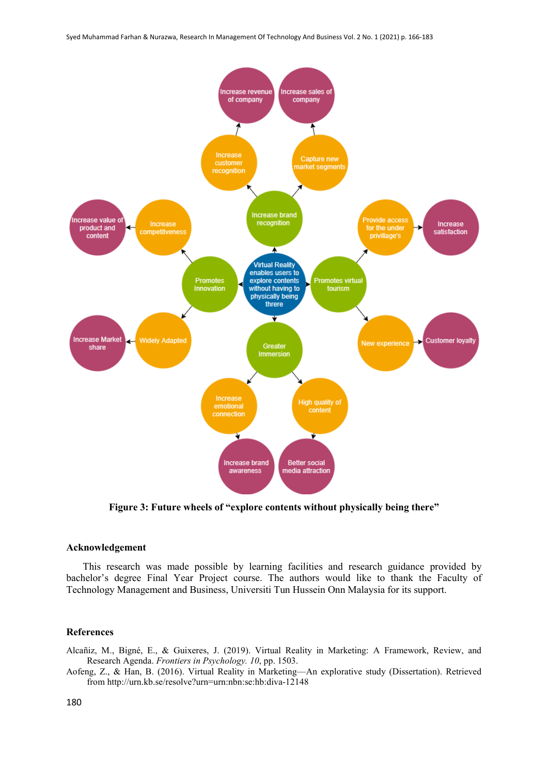

**Figure 3: Future wheels of "explore contents without physically being there"**

# **Acknowledgement**

This research was made possible by learning facilities and research guidance provided by bachelor's degree Final Year Project course. The authors would like to thank the Faculty of Technology Management and Business, Universiti Tun Hussein Onn Malaysia for its support.

### **References**

Alcañiz, M., Bigné, E., & Guixeres, J. (2019). Virtual Reality in Marketing: A Framework, Review, and Research Agenda. *Frontiers in Psychology. 10*, pp. 1503.

Aofeng, Z., & Han, B. (2016). Virtual Reality in Marketing—An explorative study (Dissertation). Retrieved from http://urn.kb.se/resolve?urn=urn:nbn:se:hb:diva-12148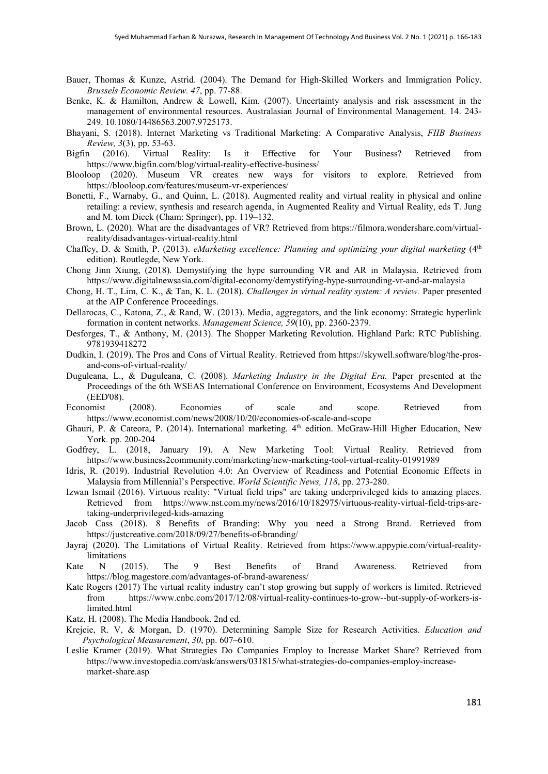- Bauer, Thomas & Kunze, Astrid. (2004). The Demand for High-Skilled Workers and Immigration Policy. *Brussels Economic Review. 47*, pp. 77-88.
- Benke, K. & Hamilton, Andrew & Lowell, Kim. (2007). Uncertainty analysis and risk assessment in the management of environmental resources. Australasian Journal of Environmental Management. 14. 243- 249. 10.1080/14486563.2007.9725173.
- Bhayani, S. (2018). Internet Marketing vs Traditional Marketing: A Comparative Analysis, *FIIB Business Review, 3*(3), pp. 53-63.
- Bigfin (2016). Virtual Reality: Is it Effective for Your Business? Retrieved from https://www.bigfin.com/blog/virtual-reality-effective-business/
- Blooloop (2020). Museum VR creates new ways for visitors to explore. Retrieved from https://blooloop.com/features/museum-vr-experiences/
- Bonetti, F., Warnaby, G., and Quinn, L. (2018). Augmented reality and virtual reality in physical and online retailing: a review, synthesis and research agenda, in Augmented Reality and Virtual Reality, eds T. Jung and M. tom Dieck (Cham: Springer), pp. 119–132.
- Brown, L. (2020). What are the disadvantages of VR? Retrieved from https://filmora.wondershare.com/virtualreality/disadvantages-virtual-reality.html
- Chaffey, D. & Smith, P. (2013). *eMarketing excellence: Planning and optimizing your digital marketing* (4<sup>th</sup> edition). Routlegde, New York.
- Chong Jinn Xiung, (2018). Demystifying the hype surrounding VR and AR in Malaysia. Retrieved from https://www.digitalnewsasia.com/digital-economy/demystifying-hype-surrounding-vr-and-ar-malaysia
- Chong, H. T., Lim, C. K., & Tan, K. L. (2018). *Challenges in virtual reality system: A review.* Paper presented at the AIP Conference Proceedings.
- Dellarocas, C., Katona, Z., & Rand, W. (2013). Media, aggregators, and the link economy: Strategic hyperlink formation in content networks. *Management Science, 59*(10), pp. 2360-2379.
- Desforges, T., & Anthony, M. (2013). The Shopper Marketing Revolution. Highland Park: RTC Publishing. 9781939418272
- Dudkin, I. (2019). The Pros and Cons of Virtual Reality. Retrieved from https://skywell.software/blog/the-prosand-cons-of-virtual-reality/
- Duguleana, L., & Duguleana, C. (2008). *Marketing Industry in the Digital Era.* Paper presented at the Proceedings of the 6th WSEAS International Conference on Environment, Ecosystems And Development (EED'08).
- Economist (2008). Economies of scale and scope. Retrieved from https://www.economist.com/news/2008/10/20/economies-of-scale-and-scope
- Ghauri, P. & Cateora, P. (2014). International marketing. 4<sup>th</sup> edition. McGraw-Hill Higher Education, New York. pp. 200-204
- Godfrey, L. (2018, January 19). A New Marketing Tool: Virtual Reality. Retrieved from https://www.business2community.com/marketing/new-marketing-tool-virtual-reality-01991989
- Idris, R. (2019). Industrial Revolution 4.0: An Overview of Readiness and Potential Economic Effects in Malaysia from Millennial's Perspective. *World Scientific News, 118*, pp. 273-280.
- Izwan Ismail (2016). Virtuous reality: "Virtual field trips" are taking underprivileged kids to amazing places. Retrieved from https://www.nst.com.my/news/2016/10/182975/virtuous-reality-virtual-field-trips-aretaking-underprivileged-kids-amazing
- Jacob Cass (2018). 8 Benefits of Branding: Why you need a Strong Brand. Retrieved from https://justcreative.com/2018/09/27/benefits-of-branding/
- Jayraj (2020). The Limitations of Virtual Reality. Retrieved from https://www.appypie.com/virtual-realitylimitations
- Kate N (2015). The 9 Best Benefits of Brand Awareness. Retrieved from https://blog.magestore.com/advantages-of-brand-awareness/
- Kate Rogers (2017) The virtual reality industry can't stop growing but supply of workers is limited. Retrieved from [https://www.cnbc.com/2017/12/08/virtual-r](https://www.cnbc.com/2017/12/08/virtual-)eality-continues-to-grow--but-supply-of-workers-islimited.html
- Katz, H. (2008). The Media Handbook. 2nd ed.
- Krejcie, R. V, & Morgan, D. (1970). Determining Sample Size for Research Activities. *Education and Psychological Measurement*, *30*, pp. 607–610.
- Leslie Kramer (2019). What Strategies Do Companies Employ to Increase Market Share? Retrieved from https://www.investopedia.com/ask/answers/031815/what-strategies-do-companies-employ-increasemarket-share.asp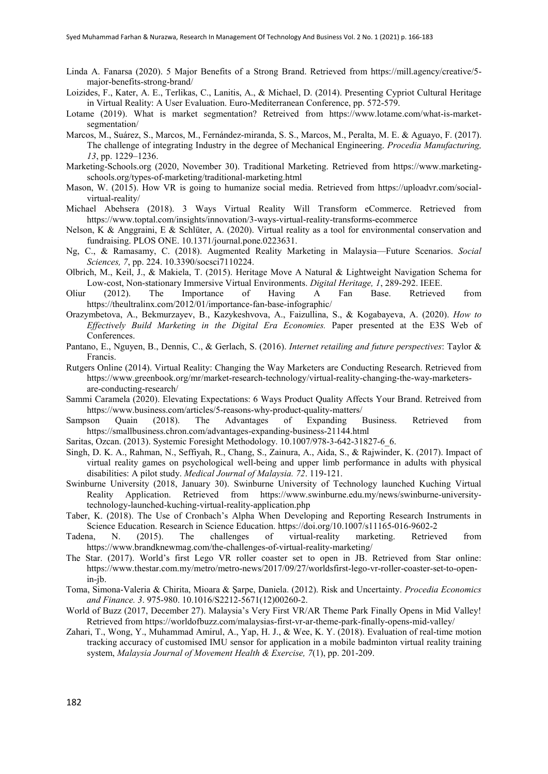- Linda A. Fanarsa (2020). 5 Major Benefits of a Strong Brand. Retrieved from https://mill.agency/creative/5 major-benefits-strong-brand/
- Loizides, F., Kater, A. E., Terlikas, C., Lanitis, A., & Michael, D. (2014). Presenting Cypriot Cultural Heritage in Virtual Reality: A User Evaluation. Euro-Mediterranean Conference, pp. 572-579.
- Lotame (2019). What is market segmentation? Retreived from https://www.lotame.com/what-is-marketsegmentation/
- Marcos, M., Suárez, S., Marcos, M., Fernández-miranda, S. S., Marcos, M., Peralta, M. E. & Aguayo, F. (2017). The challenge of integrating Industry in the degree of Mechanical Engineering. *Procedia Manufacturing, 13*, pp. 1229–1236.
- Marketing-Schools.org (2020, November 30). Traditional Marketing. Retrieved from https://www.marketingschools.org/types-of-marketing/traditional-marketing.html
- Mason, W. (2015). How VR is going to humanize social media. Retrieved from https://uploadvr.com/socialvirtual-reality/
- Michael Abehsera (2018). 3 Ways Virtual Reality Will Transform eCommerce. Retrieved from https://www.toptal.com/insights/innovation/3-ways-virtual-reality-transforms-ecommerce
- Nelson, K & Anggraini, E & Schlüter, A. (2020). Virtual reality as a tool for environmental conservation and fundraising. PLOS ONE. 10.1371/journal.pone.0223631.
- Ng, C., & Ramasamy, C. (2018). Augmented Reality Marketing in Malaysia—Future Scenarios. *Social Sciences, 7*, pp. 224. 10.3390/socsci7110224.
- Olbrich, M., Keil, J., & Makiela, T. (2015). Heritage Move A Natural & Lightweight Navigation Schema for Low-cost, Non-stationary Immersive Virtual Environments. *Digital Heritage, 1*, 289-292. IEEE.
- Oliur (2012). The Importance of Having A Fan Base. Retrieved from https://theultralinx.com/2012/01/importance-fan-base-infographic/
- Orazymbetova, A., Bekmurzayev, B., Kazykeshvova, A., Faizullina, S., & Kogabayeva, A. (2020). *How to Effectively Build Marketing in the Digital Era Economies.* Paper presented at the E3S Web of Conferences.
- Pantano, E., Nguyen, B., Dennis, C., & Gerlach, S. (2016). *Internet retailing and future perspectives*: Taylor & Francis.
- Rutgers Online (2014). Virtual Reality: Changing the Way Marketers are Conducting Research. Retrieved from https://www.greenbook.org/mr/market-research-technology/virtual-reality-changing-the-way-marketersare-conducting-research/
- Sammi Caramela (2020). Elevating Expectations: 6 Ways Product Quality Affects Your Brand. Retreived from https://www.business.com/articles/5-reasons-why-product-quality-matters/
- Sampson Quain (2018). The Advantages of Expanding Business. Retrieved from https://smallbusiness.chron.com/advantages-expanding-business-21144.html
- Saritas, Ozcan. (2013). Systemic Foresight Methodology. 10.1007/978-3-642-31827-6\_6.
- Singh, D. K. A., Rahman, N., Seffiyah, R., Chang, S., Zainura, A., Aida, S., & Rajwinder, K. (2017). Impact of virtual reality games on psychological well-being and upper limb performance in adults with physical disabilities: A pilot study. *Medical Journal of Malaysia. 72*. 119-121.
- Swinburne University (2018, January 30). Swinburne University of Technology launched Kuching Virtual Reality Application. Retrieved from https://www.swinburne.edu.my/news/swinburne-universitytechnology-launched-kuching-virtual-reality-application.php
- Taber, K. (2018). The Use of Cronbach's Alpha When Developing and Reporting Research Instruments in Science Education. Research in Science Education. https://doi.org/10.1007/s11165-016-9602-2
- Tadena, N. (2015). The challenges of virtual-reality marketing. Retrieved from https://www.brandknewmag.com/the-challenges-of-virtual-reality-marketing/
- The Star. (2017). World's first Lego VR roller coaster set to open in JB. Retrieved from Star online: https://www.thestar.com.my/metro/metro-news/2017/09/27/worldsfirst-lego-vr-roller-coaster-set-to-openin-jb.
- Toma, Simona-Valeria & Chirita, Mioara & Şarpe, Daniela. (2012). Risk and Uncertainty. *Procedia Economics and Finance. 3*. 975-980. 10.1016/S2212-5671(12)00260-2.
- World of Buzz (2017, December 27). Malaysia's Very First VR/AR Theme Park Finally Opens in Mid Valley! Retrieved from https://worldofbuzz.com/malaysias-first-vr-ar-theme-park-finally-opens-mid-valley/
- Zahari, T., Wong, Y., Muhammad Amirul, A., Yap, H. J., & Wee, K. Y. (2018). Evaluation of real-time motion tracking accuracy of customised IMU sensor for application in a mobile badminton virtual reality training system, *Malaysia Journal of Movement Health & Exercise, 7*(1), pp. 201-209.